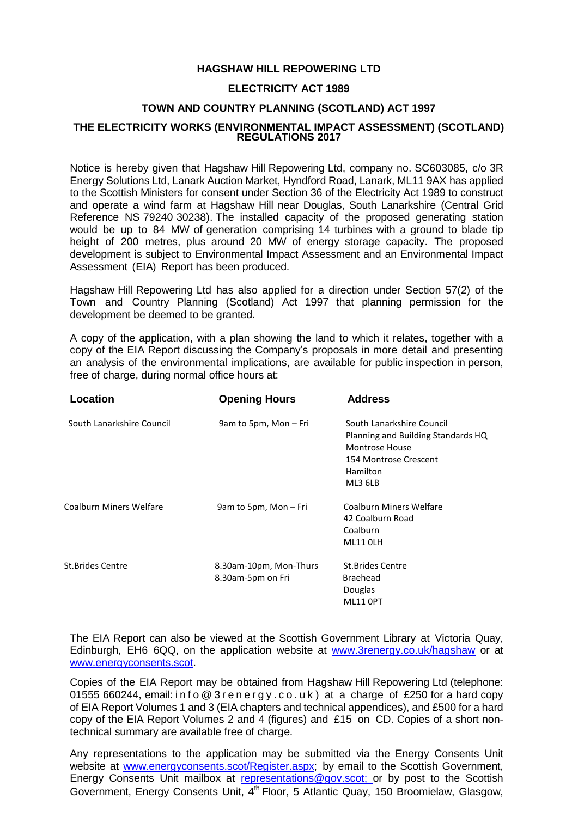# **HAGSHAW HILL REPOWERING LTD**

## **ELECTRICITY ACT 1989**

### **TOWN AND COUNTRY PLANNING (SCOTLAND) ACT 1997**

#### **THE ELECTRICITY WORKS (ENVIRONMENTAL IMPACT ASSESSMENT) (SCOTLAND) REGULATIONS 2017**

Notice is hereby given that Hagshaw Hill Repowering Ltd, company no. SC603085, c/o 3R Energy Solutions Ltd, Lanark Auction Market, Hyndford Road, Lanark, ML11 9AX has applied to the Scottish Ministers for consent under Section 36 of the Electricity Act 1989 to construct and operate a wind farm at Hagshaw Hill near Douglas, South Lanarkshire (Central Grid Reference NS 79240 30238). The installed capacity of the proposed generating station would be up to 84 MW of generation comprising 14 turbines with a ground to blade tip height of 200 metres, plus around 20 MW of energy storage capacity. The proposed development is subject to Environmental Impact Assessment and an Environmental Impact Assessment (EIA) Report has been produced.

Hagshaw Hill Repowering Ltd has also applied for a direction under Section 57(2) of the Town and Country Planning (Scotland) Act 1997 that planning permission for the development be deemed to be granted.

A copy of the application, with a plan showing the land to which it relates, together with a copy of the EIA Report discussing the Company's proposals in more detail and presenting an analysis of the environmental implications, are available for public inspection in person, free of charge, during normal office hours at:

| Location                  | <b>Opening Hours</b>                        | <b>Address</b>                                                                                                                           |
|---------------------------|---------------------------------------------|------------------------------------------------------------------------------------------------------------------------------------------|
| South Lanarkshire Council | 9am to 5pm, Mon - Fri                       | South Lanarkshire Council<br>Planning and Building Standards HQ<br><b>Montrose House</b><br>154 Montrose Crescent<br>Hamilton<br>ML3 6LB |
| Coalburn Miners Welfare   | 9am to 5pm, Mon – Fri                       | Coalburn Miners Welfare<br>42 Coalburn Road<br>Coalburn<br>ML11 OLH                                                                      |
| St.Brides Centre          | 8.30am-10pm, Mon-Thurs<br>8.30am-5pm on Fri | <b>St.Brides Centre</b><br><b>Braehead</b><br>Douglas<br><b>ML11 OPT</b>                                                                 |

The EIA Report can also be viewed at the Scottish Government Library at Victoria Quay, Edinburgh, EH6 6QQ, on the application website at [www.3renergy.co.uk/hagshaw](http://www.3renergy.co.uk/hagshaw) or at [www.energyconsents.scot.](http://www.energyconsents.scot/)

Copies of the EIA Report may be obtained from Hagshaw Hill Repowering Ltd (telephone: 01555 660244, email: in f o @ 3 r e n e r g y . c o . u k ) at a charge of £250 for a hard copy of EIA Report Volumes 1 and 3 (EIA chapters and technical appendices), and £500 for a hard copy of the EIA Report Volumes 2 and 4 (figures) and £15 on CD. Copies of a short nontechnical summary are available free of charge.

Any representations to the application may be submitted via the Energy Consents Unit website at [www.energyconsents.scot/Register.aspx;](http://www.energyconsents.scot/Register.aspx) by email to the Scottish Government, Energy Consents Unit mailbox at [representations@gov.scot;](mailto:representations@gov.scot) or by post to the Scottish Government, Energy Consents Unit, 4<sup>th</sup> Floor, 5 Atlantic Quay, 150 Broomielaw, Glasgow,